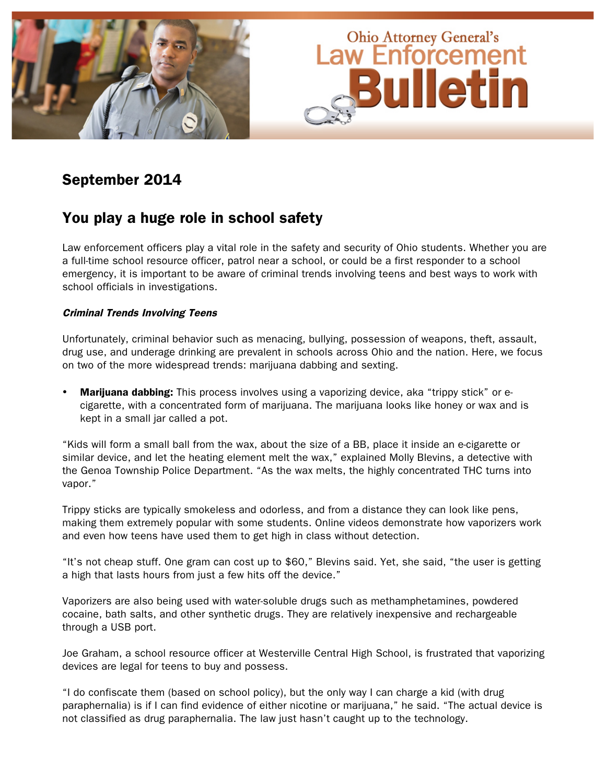

## September 2014

### You play a huge role in school safety

Law enforcement officers play a vital role in the safety and security of Ohio students. Whether you are a full-time school resource officer, patrol near a school, or could be a first responder to a school emergency, it is important to be aware of criminal trends involving teens and best ways to work with school officials in investigations.

### Criminal Trends Involving Teens

Unfortunately, criminal behavior such as menacing, bullying, possession of weapons, theft, assault, drug use, and underage drinking are prevalent in schools across Ohio and the nation. Here, we focus on two of the more widespread trends: marijuana dabbing and sexting.

**Marijuana dabbing:** This process involves using a vaporizing device, aka "trippy stick" or ecigarette, with a concentrated form of marijuana. The marijuana looks like honey or wax and is kept in a small jar called a pot.

"Kids will form a small ball from the wax, about the size of a BB, place it inside an e-cigarette or similar device, and let the heating element melt the wax," explained Molly Blevins, a detective with the Genoa Township Police Department. "As the wax melts, the highly concentrated THC turns into vapor."

Trippy sticks are typically smokeless and odorless, and from a distance they can look like pens, making them extremely popular with some students. Online videos demonstrate how vaporizers work and even how teens have used them to get high in class without detection.

"It's not cheap stuff. One gram can cost up to \$60," Blevins said. Yet, she said, "the user is getting a high that lasts hours from just a few hits off the device."

Vaporizers are also being used with water-soluble drugs such as methamphetamines, powdered cocaine, bath salts, and other synthetic drugs. They are relatively inexpensive and rechargeable through a USB port.

Joe Graham, a school resource officer at Westerville Central High School, is frustrated that vaporizing devices are legal for teens to buy and possess.

"I do confiscate them (based on school policy), but the only way I can charge a kid (with drug paraphernalia) is if I can find evidence of either nicotine or marijuana," he said. "The actual device is not classified as drug paraphernalia. The law just hasn't caught up to the technology.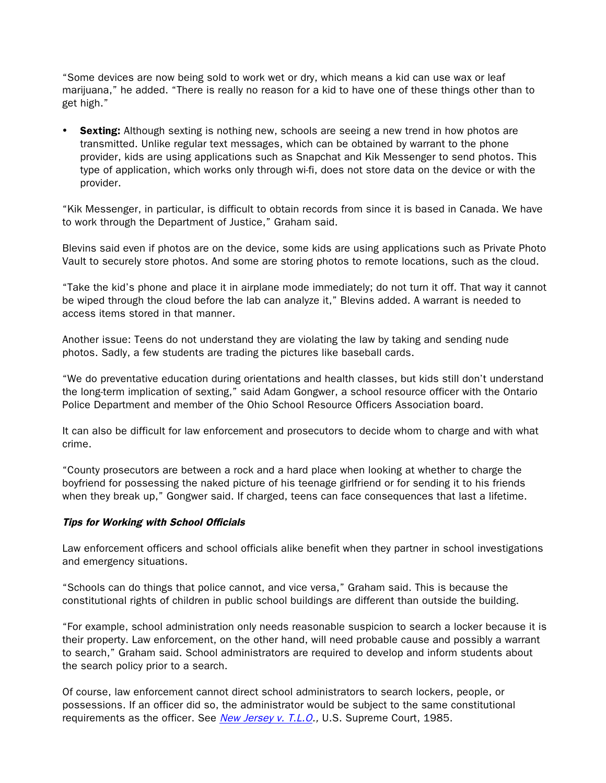"Some devices are now being sold to work wet or dry, which means a kid can use wax or leaf marijuana," he added. "There is really no reason for a kid to have one of these things other than to get high."

**Sexting:** Although sexting is nothing new, schools are seeing a new trend in how photos are transmitted. Unlike regular text messages, which can be obtained by warrant to the phone provider, kids are using applications such as Snapchat and Kik Messenger to send photos. This type of application, which works only through wi-fi, does not store data on the device or with the provider.

"Kik Messenger, in particular, is difficult to obtain records from since it is based in Canada. We have to work through the Department of Justice," Graham said.

Blevins said even if photos are on the device, some kids are using applications such as Private Photo Vault to securely store photos. And some are storing photos to remote locations, such as the cloud.

"Take the kid's phone and place it in airplane mode immediately; do not turn it off. That way it cannot be wiped through the cloud before the lab can analyze it," Blevins added. A warrant is needed to access items stored in that manner.

Another issue: Teens do not understand they are violating the law by taking and sending nude photos. Sadly, a few students are trading the pictures like baseball cards.

"We do preventative education during orientations and health classes, but kids still don't understand the long-term implication of sexting," said Adam Gongwer, a school resource officer with the Ontario Police Department and member of the Ohio School Resource Officers Association board.

It can also be difficult for law enforcement and prosecutors to decide whom to charge and with what crime.

"County prosecutors are between a rock and a hard place when looking at whether to charge the boyfriend for possessing the naked picture of his teenage girlfriend or for sending it to his friends when they break up," Gongwer said. If charged, teens can face consequences that last a lifetime.

#### Tips for Working with School Officials

Law enforcement officers and school officials alike benefit when they partner in school investigations and emergency situations.

"Schools can do things that police cannot, and vice versa," Graham said. This is because the constitutional rights of children in public school buildings are different than outside the building.

"For example, school administration only needs reasonable suspicion to search a locker because it is their property. Law enforcement, on the other hand, will need probable cause and possibly a warrant to search," Graham said. School administrators are required to develop and inform students about the search policy prior to a search.

Of course, law enforcement cannot direct school administrators to search lockers, people, or possessions. If an officer did so, the administrator would be subject to the same constitutional requirements as the officer. See [New Jersey v. T.L.O.](http://scholar.google.com/scholar_case?case=4170966027434691269&q=T.L.O.&hl=en&as_sdt=6,36), U.S. Supreme Court, 1985.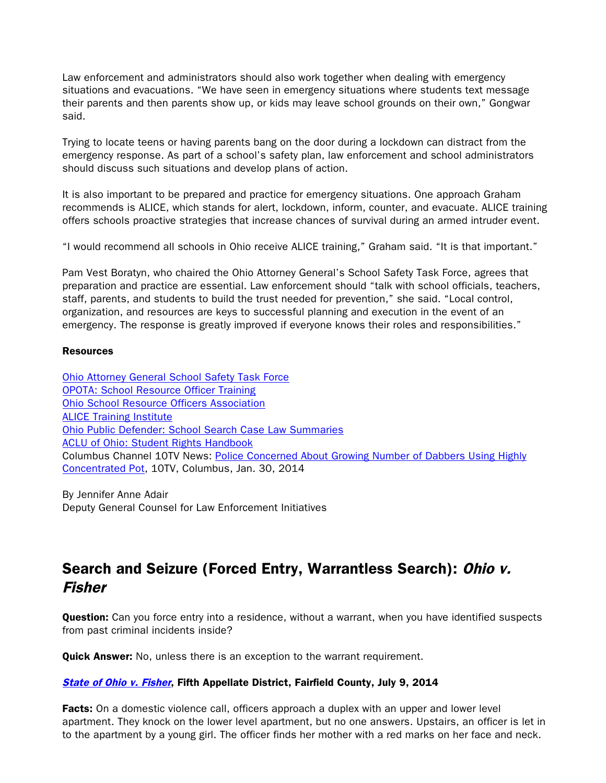Law enforcement and administrators should also work together when dealing with emergency situations and evacuations. "We have seen in emergency situations where students text message their parents and then parents show up, or kids may leave school grounds on their own," Gongwar said.

Trying to locate teens or having parents bang on the door during a lockdown can distract from the emergency response. As part of a school's safety plan, law enforcement and school administrators should discuss such situations and develop plans of action.

It is also important to be prepared and practice for emergency situations. One approach Graham recommends is ALICE, which stands for alert, lockdown, inform, counter, and evacuate. ALICE training offers schools proactive strategies that increase chances of survival during an armed intruder event.

"I would recommend all schools in Ohio receive ALICE training," Graham said. "It is that important."

Pam Vest Boratyn, who chaired the Ohio Attorney General's School Safety Task Force, agrees that preparation and practice are essential. Law enforcement should "talk with school officials, teachers, staff, parents, and students to build the trust needed for prevention," she said. "Local control, organization, and resources are keys to successful planning and execution in the event of an emergency. The response is greatly improved if everyone knows their roles and responsibilities."

#### Resources

[Ohio Attorney General School Safety Task Force](http://www.ohioattorneygeneral.gov/SchoolSafety) [OPOTA: School Resource Officer Training](http://www.ohioattorneygeneral.gov/Law-Enforcement/Ohio-Peace-Officer-Training-Academy/Course-Catalog/Course-Search.aspx?searchtext=school+resource+officer&searchmode=exactphrase) [Ohio School Resource Officers Association](http://www.osroa.org/) [ALICE Training Institute](http://www.alicetraining.com/) [Ohio Public Defender: School Search Case Law Summaries](http://opd.ohio.gov/RC_Casebook/search_and_seizure_IV.htm#I. School searches) [ACLU of Ohio: Student Rights Handbook](http://www.acluohio.org/assets/issues/StudentRights/StudentRightsGuide.pdf) Columbus Channel 10TV News: [Police Concerned About Growing Number of Dabbers Using Highly](http://www.10tv.com/content/stories/2014/01/30/columbus-dabbing-dangers-11pm.html) [Concentrated Pot,](http://www.10tv.com/content/stories/2014/01/30/columbus-dabbing-dangers-11pm.html) 10TV, Columbus, Jan. 30, 2014

By Jennifer Anne Adair Deputy General Counsel for Law Enforcement Initiatives

# Search and Seizure (Forced Entry, Warrantless Search): Ohio v. Fisher

**Question:** Can you force entry into a residence, without a warrant, when you have identified suspects from past criminal incidents inside?

Quick Answer: No, unless there is an exception to the warrant requirement.

#### [State of Ohio v. Fisher](http://www.sconet.state.oh.us/rod/docs/pdf/5/2014/2014-ohio-3029.pdf), Fifth Appellate District, Fairfield County, July 9, 2014

**Facts:** On a domestic violence call, officers approach a duplex with an upper and lower level apartment. They knock on the lower level apartment, but no one answers. Upstairs, an officer is let in to the apartment by a young girl. The officer finds her mother with a red marks on her face and neck.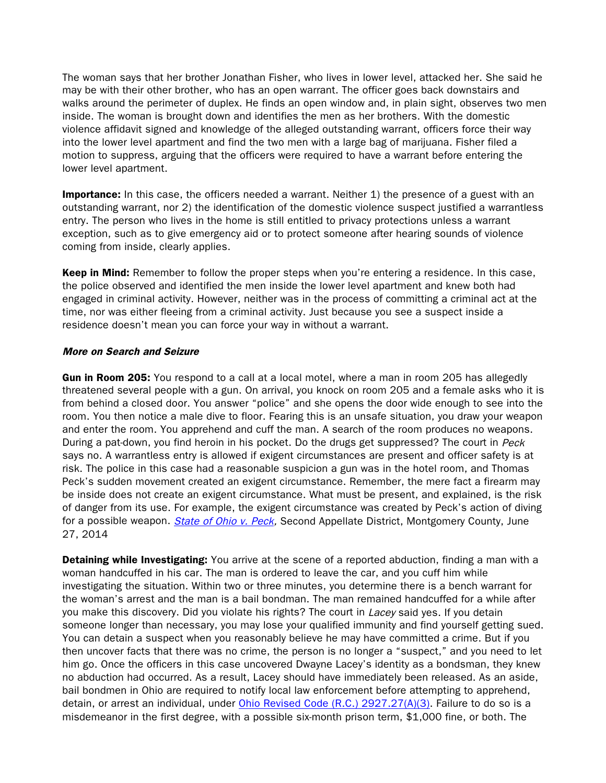The woman says that her brother Jonathan Fisher, who lives in lower level, attacked her. She said he may be with their other brother, who has an open warrant. The officer goes back downstairs and walks around the perimeter of duplex. He finds an open window and, in plain sight, observes two men inside. The woman is brought down and identifies the men as her brothers. With the domestic violence affidavit signed and knowledge of the alleged outstanding warrant, officers force their way into the lower level apartment and find the two men with a large bag of marijuana. Fisher filed a motion to suppress, arguing that the officers were required to have a warrant before entering the lower level apartment.

**Importance:** In this case, the officers needed a warrant. Neither 1) the presence of a guest with an outstanding warrant, nor 2) the identification of the domestic violence suspect justified a warrantless entry. The person who lives in the home is still entitled to privacy protections unless a warrant exception, such as to give emergency aid or to protect someone after hearing sounds of violence coming from inside, clearly applies.

Keep in Mind: Remember to follow the proper steps when you're entering a residence. In this case, the police observed and identified the men inside the lower level apartment and knew both had engaged in criminal activity. However, neither was in the process of committing a criminal act at the time, nor was either fleeing from a criminal activity. Just because you see a suspect inside a residence doesn't mean you can force your way in without a warrant.

#### More on Search and Seizure

Gun in Room 205: You respond to a call at a local motel, where a man in room 205 has allegedly threatened several people with a gun. On arrival, you knock on room 205 and a female asks who it is from behind a closed door. You answer "police" and she opens the door wide enough to see into the room. You then notice a male dive to floor. Fearing this is an unsafe situation, you draw your weapon and enter the room. You apprehend and cuff the man. A search of the room produces no weapons. During a pat-down, you find heroin in his pocket. Do the drugs get suppressed? The court in Peck says no. A warrantless entry is allowed if exigent circumstances are present and officer safety is at risk. The police in this case had a reasonable suspicion a gun was in the hotel room, and Thomas Peck's sudden movement created an exigent circumstance. Remember, the mere fact a firearm may be inside does not create an exigent circumstance. What must be present, and explained, is the risk of danger from its use. For example, the exigent circumstance was created by Peck's action of diving for a possible weapon. *State of Ohio v. Peck*, Second Appellate District, Montgomery County, June 27, 2014

Detaining while Investigating: You arrive at the scene of a reported abduction, finding a man with a woman handcuffed in his car. The man is ordered to leave the car, and you cuff him while investigating the situation. Within two or three minutes, you determine there is a bench warrant for the woman's arrest and the man is a bail bondman. The man remained handcuffed for a while after you make this discovery. Did you violate his rights? The court in Lacey said yes. If you detain someone longer than necessary, you may lose your qualified immunity and find yourself getting sued. You can detain a suspect when you reasonably believe he may have committed a crime. But if you then uncover facts that there was no crime, the person is no longer a "suspect," and you need to let him go. Once the officers in this case uncovered Dwayne Lacey's identity as a bondsman, they knew no abduction had occurred. As a result, Lacey should have immediately been released. As an aside, bail bondmen in Ohio are required to notify local law enforcement before attempting to apprehend, detain, or arrest an individual, under [Ohio Revised Code \(R.C.\) 2927.27\(A\)\(3\).](http://codes.ohio.gov/orc/2927.27.) Failure to do so is a misdemeanor in the first degree, with a possible six-month prison term, \$1,000 fine, or both. The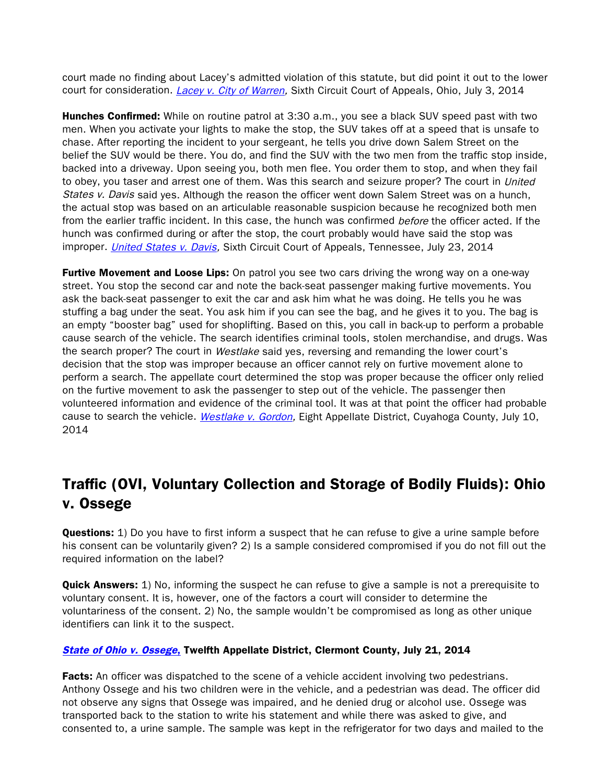court made no finding about Lacey's admitted violation of this statute, but did point it out to the lower court for consideration. *Lacey v. City of Warren*, Sixth Circuit Court of Appeals, Ohio, July 3, 2014

**Hunches Confirmed:** While on routine patrol at 3:30 a.m., you see a black SUV speed past with two men. When you activate your lights to make the stop, the SUV takes off at a speed that is unsafe to chase. After reporting the incident to your sergeant, he tells you drive down Salem Street on the belief the SUV would be there. You do, and find the SUV with the two men from the traffic stop inside, backed into a driveway. Upon seeing you, both men flee. You order them to stop, and when they fail to obey, you taser and arrest one of them. Was this search and seizure proper? The court in *United* States v. Davis said yes. Although the reason the officer went down Salem Street was on a hunch, the actual stop was based on an articulable reasonable suspicion because he recognized both men from the earlier traffic incident. In this case, the hunch was confirmed before the officer acted. If the hunch was confirmed during or after the stop, the court probably would have said the stop was improper. [United States v. Davis,](http://www.ca6.uscourts.gov/opinions.pdf/14a0548n-06.pdf) Sixth Circuit Court of Appeals, Tennessee, July 23, 2014

**Furtive Movement and Loose Lips:** On patrol you see two cars driving the wrong way on a one-way street. You stop the second car and note the back-seat passenger making furtive movements. You ask the back-seat passenger to exit the car and ask him what he was doing. He tells you he was stuffing a bag under the seat. You ask him if you can see the bag, and he gives it to you. The bag is an empty "booster bag" used for shoplifting. Based on this, you call in back-up to perform a probable cause search of the vehicle. The search identifies criminal tools, stolen merchandise, and drugs. Was the search proper? The court in Westlake said yes, reversing and remanding the lower court's decision that the stop was improper because an officer cannot rely on furtive movement alone to perform a search. The appellate court determined the stop was proper because the officer only relied on the furtive movement to ask the passenger to step out of the vehicle. The passenger then volunteered information and evidence of the criminal tool. It was at that point the officer had probable cause to search the vehicle. [Westlake v. Gordon,](http://www.sconet.state.oh.us/rod/docs/pdf/8/2014/2014-ohio-3031.pdf) Eight Appellate District, Cuyahoga County, July 10, 2014

# Traffic (OVI, Voluntary Collection and Storage of Bodily Fluids): Ohio v. Ossege

**Questions:** 1) Do you have to first inform a suspect that he can refuse to give a urine sample before his consent can be voluntarily given? 2) Is a sample considered compromised if you do not fill out the required information on the label?

**Quick Answers:** 1) No, informing the suspect he can refuse to give a sample is not a prerequisite to voluntary consent. It is, however, one of the factors a court will consider to determine the voluntariness of the consent. 2) No, the sample wouldn't be compromised as long as other unique identifiers can link it to the suspect.

#### [State of Ohio v. Ossege](http://www.sconet.state.oh.us/rod/docs/pdf/12/2014/2014-ohio-3186.pdf), Twelfth Appellate District, Clermont County, July 21, 2014

**Facts:** An officer was dispatched to the scene of a vehicle accident involving two pedestrians. Anthony Ossege and his two children were in the vehicle, and a pedestrian was dead. The officer did not observe any signs that Ossege was impaired, and he denied drug or alcohol use. Ossege was transported back to the station to write his statement and while there was asked to give, and consented to, a urine sample. The sample was kept in the refrigerator for two days and mailed to the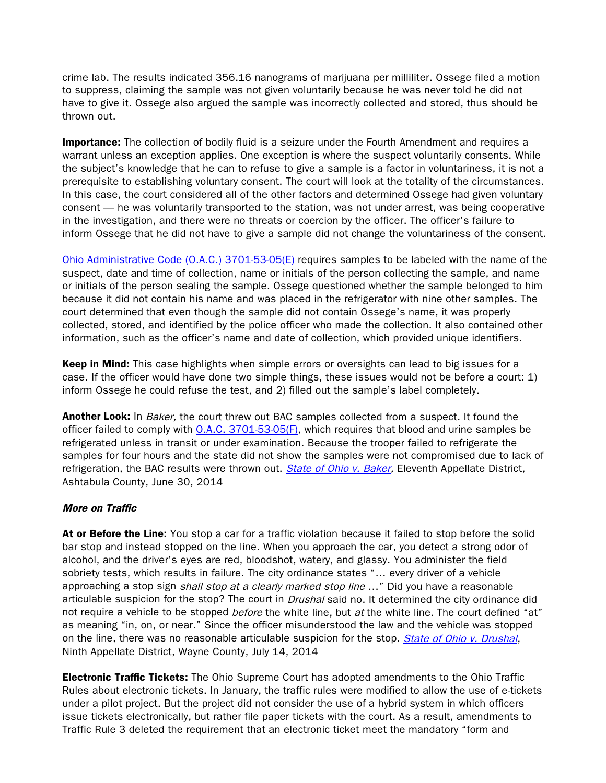crime lab. The results indicated 356.16 nanograms of marijuana per milliliter. Ossege filed a motion to suppress, claiming the sample was not given voluntarily because he was never told he did not have to give it. Ossege also argued the sample was incorrectly collected and stored, thus should be thrown out.

**Importance:** The collection of bodily fluid is a seizure under the Fourth Amendment and requires a warrant unless an exception applies. One exception is where the suspect voluntarily consents. While the subject's knowledge that he can to refuse to give a sample is a factor in voluntariness, it is not a prerequisite to establishing voluntary consent. The court will look at the totality of the circumstances. In this case, the court considered all of the other factors and determined Ossege had given voluntary consent — he was voluntarily transported to the station, was not under arrest, was being cooperative in the investigation, and there were no threats or coercion by the officer. The officer's failure to inform Ossege that he did not have to give a sample did not change the voluntariness of the consent.

[Ohio Administrative Code \(O.A.C.\) 3701-53-05\(E\)](http://codes.ohio.gov/oac/3701-53-05) requires samples to be labeled with the name of the suspect, date and time of collection, name or initials of the person collecting the sample, and name or initials of the person sealing the sample. Ossege questioned whether the sample belonged to him because it did not contain his name and was placed in the refrigerator with nine other samples. The court determined that even though the sample did not contain Ossege's name, it was properly collected, stored, and identified by the police officer who made the collection. It also contained other information, such as the officer's name and date of collection, which provided unique identifiers.

Keep in Mind: This case highlights when simple errors or oversights can lead to big issues for a case. If the officer would have done two simple things, these issues would not be before a court: 1) inform Ossege he could refuse the test, and 2) filled out the sample's label completely.

**Another Look:** In *Baker*, the court threw out BAC samples collected from a suspect. It found the officer failed to comply with [O.A.C. 3701-53-05\(F\),](http://codes.ohio.gov/oac/3701-53-05) which requires that blood and urine samples be refrigerated unless in transit or under examination. Because the trooper failed to refrigerate the samples for four hours and the state did not show the samples were not compromised due to lack of refrigeration, the BAC results were thrown out. [State of Ohio v. Baker,](http://www.sconet.state.oh.us/rod/docs/pdf/11/2014/2014-ohio-2873.pdf) Eleventh Appellate District, Ashtabula County, June 30, 2014

### More on Traffic

At or Before the Line: You stop a car for a traffic violation because it failed to stop before the solid bar stop and instead stopped on the line. When you approach the car, you detect a strong odor of alcohol, and the driver's eyes are red, bloodshot, watery, and glassy. You administer the field sobriety tests, which results in failure. The city ordinance states "… every driver of a vehicle approaching a stop sign *shall stop at a clearly marked stop line* ..." Did you have a reasonable articulable suspicion for the stop? The court in *Drushal* said no. It determined the city ordinance did not require a vehicle to be stopped *before* the white line, but at the white line. The court defined "at" as meaning "in, on, or near." Since the officer misunderstood the law and the vehicle was stopped on the line, there was no reasonable articulable suspicion for the stop. [State of Ohio v. Drushal](http://www.sconet.state.oh.us/rod/docs/pdf/9/2014/2014-ohio-3088.pdf), Ninth Appellate District, Wayne County, July 14, 2014

**Electronic Traffic Tickets:** The Ohio Supreme Court has adopted amendments to the Ohio Traffic Rules about electronic tickets. In January, the traffic rules were modified to allow the use of e-tickets under a pilot project. But the project did not consider the use of a hybrid system in which officers issue tickets electronically, but rather file paper tickets with the court. As a result, amendments to Traffic Rule 3 deleted the requirement that an electronic ticket meet the mandatory "form and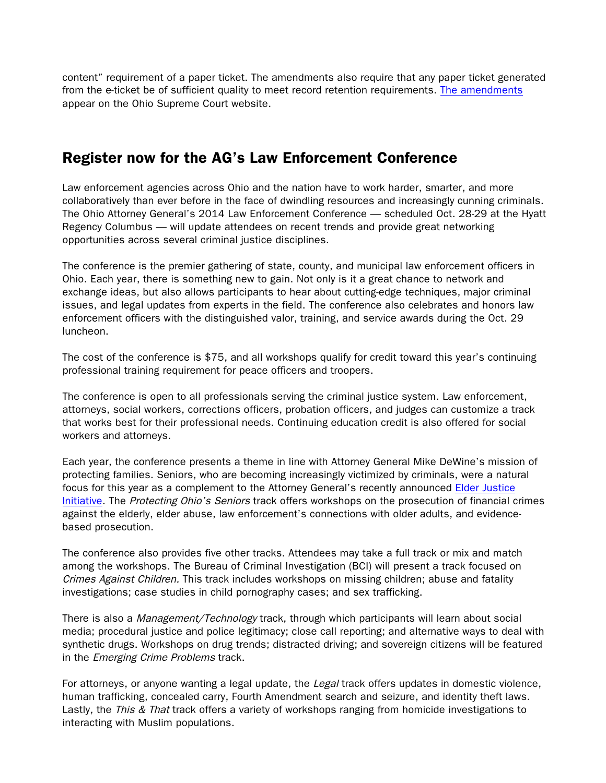content" requirement of a paper ticket. The amendments also require that any paper ticket generated from the e-ticket be of sufficient quality to meet record retention requirements. [The amendments](http://codes.ohio.gov/oac/3701-53-05) appear on the Ohio Supreme Court website.

# Register now for the AG's Law Enforcement Conference

Law enforcement agencies across Ohio and the nation have to work harder, smarter, and more collaboratively than ever before in the face of dwindling resources and increasingly cunning criminals. The Ohio Attorney General's 2014 Law Enforcement Conference — scheduled Oct. 28-29 at the Hyatt Regency Columbus — will update attendees on recent trends and provide great networking opportunities across several criminal justice disciplines.

The conference is the premier gathering of state, county, and municipal law enforcement officers in Ohio. Each year, there is something new to gain. Not only is it a great chance to network and exchange ideas, but also allows participants to hear about cutting-edge techniques, major criminal issues, and legal updates from experts in the field. The conference also celebrates and honors law enforcement officers with the distinguished valor, training, and service awards during the Oct. 29 luncheon.

The cost of the conference is \$75, and all workshops qualify for credit toward this year's continuing professional training requirement for peace officers and troopers.

The conference is open to all professionals serving the criminal justice system. Law enforcement, attorneys, social workers, corrections officers, probation officers, and judges can customize a track that works best for their professional needs. Continuing education credit is also offered for social workers and attorneys.

Each year, the conference presents a theme in line with Attorney General Mike DeWine's mission of protecting families. Seniors, who are becoming increasingly victimized by criminals, were a natural focus for this year as a complement to the Attorney General's recently announced [Elder Justice](http://www.ohioattorneygeneral.gov/Individuals-and-Families/Seniors/Elder-Abuse/Elder-Justice-Initiative) [Initiative.](http://www.ohioattorneygeneral.gov/Individuals-and-Families/Seniors/Elder-Abuse/Elder-Justice-Initiative) The Protecting Ohio's Seniors track offers workshops on the prosecution of financial crimes against the elderly, elder abuse, law enforcement's connections with older adults, and evidencebased prosecution.

The conference also provides five other tracks. Attendees may take a full track or mix and match among the workshops. The Bureau of Criminal Investigation (BCI) will present a track focused on Crimes Against Children. This track includes workshops on missing children; abuse and fatality investigations; case studies in child pornography cases; and sex trafficking.

There is also a *Management/Technology* track, through which participants will learn about social media; procedural justice and police legitimacy; close call reporting; and alternative ways to deal with synthetic drugs. Workshops on drug trends; distracted driving; and sovereign citizens will be featured in the *Emerging Crime Problems* track.

For attorneys, or anyone wanting a legal update, the Legal track offers updates in domestic violence, human trafficking, concealed carry, Fourth Amendment search and seizure, and identity theft laws. Lastly, the This & That track offers a variety of workshops ranging from homicide investigations to interacting with Muslim populations.